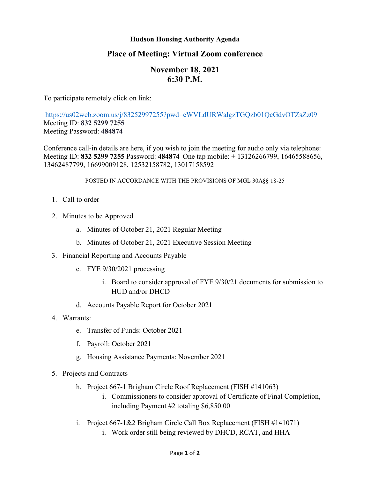### **Hudson Housing Authority Agenda**

## **Place of Meeting: Virtual Zoom conference**

# **November 18, 2021 6:30 P.M.**

To participate remotely click on link:

<https://us02web.zoom.us/j/83252997255?pwd=eWVLdURWalgzTGQzb01QcGdvOTZsZz09> Meeting ID: **832 5299 7255** Meeting Password: **484874**

Conference call-in details are here, if you wish to join the meeting for audio only via telephone: Meeting ID: **832 5299 7255** Password: **484874** One tap mobile: + 13126266799, 16465588656, 13462487799, 16699009128, 12532158782, 13017158592

#### POSTED IN ACCORDANCE WITH THE PROVISIONS OF MGL 30A§§ 18-25

- 1. Call to order
- 2. Minutes to be Approved
	- a. Minutes of October 21, 2021 Regular Meeting
	- b. Minutes of October 21, 2021 Executive Session Meeting
- 3. Financial Reporting and Accounts Payable
	- c. FYE 9/30/2021 processing
		- i. Board to consider approval of FYE 9/30/21 documents for submission to HUD and/or DHCD
	- d. Accounts Payable Report for October 2021
- 4. Warrants:
	- e. Transfer of Funds: October 2021
	- f. Payroll: October 2021
	- g. Housing Assistance Payments: November 2021
- 5. Projects and Contracts
	- h. Project 667-1 Brigham Circle Roof Replacement (FISH #141063)
		- i. Commissioners to consider approval of Certificate of Final Completion, including Payment #2 totaling \$6,850.00
	- i. Project 667-1&2 Brigham Circle Call Box Replacement (FISH #141071)
		- i. Work order still being reviewed by DHCD, RCAT, and HHA